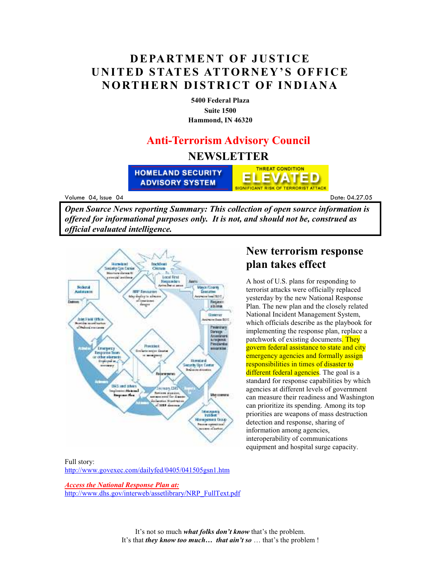## **DEPARTMENT OF JUSTICE UNITED STATES ATTORNEY'S OFFICE NORTHERN DISTRICT OF INDIANA**

**5400 Federal Plaza Suite 1500 Hammond, IN 46320**

# **Anti-Terrorism Advisory Council NEWSLETTER**

**HOMELAND SECURITY ADVISORY SYSTEM** 

Volume 04, Issue 04

<u>Date: 04</u> Date: 04.27.05

*Open Source News reporting Summary: This collection of open source information is offered for informational purposes only. It is not, and should not be, construed as official evaluated intelligence.*



#### **New terrorism response plan takes effect**

**THREAT CONDITION** 

**SIGNIFICANT RISK OF TERRORIST ATTACK** 

EVATED

A host of U.S. plans for responding to terrorist attacks were officially replaced yesterday by the new National Response Plan. The new plan and the closely related National Incident Management System, which officials describe as the playbook for implementing the response plan, replace a patchwork of existing documents. They govern federal assistance to state and city emergency agencies and formally assign responsibilities in times of disaster to different federal agencies. The goal is a standard for response capabilities by which agencies at different levels of government can measure their readiness and Washington can prioritize its spending. Among its top priorities are weapons of mass destruction detection and response, sharing of information among agencies, interoperability of communications equipment and hospital surge capacity.

Full story: http://www.govexec.com/dailyfed/0405/041505gsn1.htm

*Access the National Response Plan at:* http://www.dhs.gov/interweb/assetlibrary/NRP\_FullText.pdf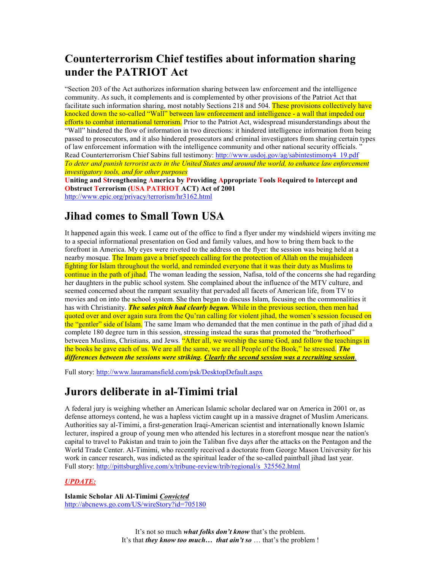## **Counterterrorism Chief testifies about information sharing under the PATRIOT Act**

"Section 203 of the Act authorizes information sharing between law enforcement and the intelligence community. As such, it complements and is complemented by other provisions of the Patriot Act that facilitate such information sharing, most notably Sections 218 and 504. These provisions collectively have knocked down the so-called "Wall" between law enforcement and intelligence - a wall that impeded our efforts to combat international terrorism. Prior to the Patriot Act, widespread misunderstandings about the "Wall" hindered the flow of information in two directions: it hindered intelligence information from being passed to prosecutors, and it also hindered prosecutors and criminal investigators from sharing certain types of law enforcement information with the intelligence community and other national security officials. " Read Counterterrorism Chief Sabins full testimony: http://www.usdoj.gov/ag/sabintestimony4\_19.pdf *To deter and punish terrorist acts in the United States and around the world, to enhance law enforcement investigatory tools, and for other purposes* 

**Uniting and Strengthening America by Providing Appropriate Tools Required to Intercept and Obstruct Terrorism (USA PATRIOT ACT) Act of 2001**  http://www.epic.org/privacy/terrorism/hr3162.html

#### **Jihad comes to Small Town USA**

It happened again this week. I came out of the office to find a flyer under my windshield wipers inviting me to a special informational presentation on God and family values, and how to bring them back to the forefront in America. My eyes were riveted to the address on the flyer: the session was being held at a nearby mosque. The Imam gave a brief speech calling for the protection of Allah on the mujahideen fighting for Islam throughout the world, and reminded everyone that it was their duty as Muslims to continue in the path of jihad. The woman leading the session, Nafisa, told of the concerns she had regarding her daughters in the public school system. She complained about the influence of the MTV culture, and seemed concerned about the rampant sexuality that pervaded all facets of American life, from TV to movies and on into the school system. She then began to discuss Islam, focusing on the commonalities it has with Christianity. *The sales pitch had clearly begun.* While in the previous section, then men had quoted over and over again sura from the Qu'ran calling for violent jihad, the women's session focused on the "gentler" side of Islam. The same Imam who demanded that the men continue in the path of jihad did a complete 180 degree turn in this session, stressing instead the suras that promoted the "brotherhood" between Muslims, Christians, and Jews. "After all, we worship the same God, and follow the teachings in the books he gave each of us. We are all the same, we are all People of the Book," he stressed. *The differences between the sessions were striking. Clearly the second session was a recruiting session*.

Full story: http://www.lauramansfield.com/psk/DesktopDefault.aspx

## **Jurors deliberate in al-Timimi trial**

A federal jury is weighing whether an American Islamic scholar declared war on America in 2001 or, as defense attorneys contend, he was a hapless victim caught up in a massive dragnet of Muslim Americans. Authorities say al-Timimi, a first-generation Iraqi-American scientist and internationally known Islamic lecturer, inspired a group of young men who attended his lectures in a storefront mosque near the nation's capital to travel to Pakistan and train to join the Taliban five days after the attacks on the Pentagon and the World Trade Center. Al-Timimi, who recently received a doctorate from George Mason University for his work in cancer research, was indicted as the spiritual leader of the so-called paintball jihad last year. Full story: http://pittsburghlive.com/x/tribune-review/trib/regional/s\_325562.html

#### *UPDATE:*

**Islamic Scholar Ali Al-Timimi** *Convicted* http://abcnews.go.com/US/wireStory?id=705180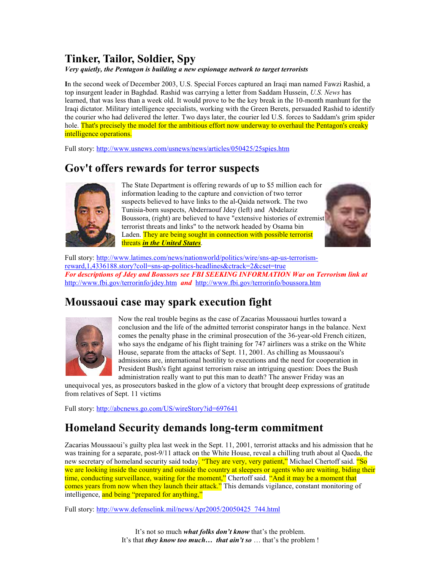# **Tinker, Tailor, Soldier, Spy**

*Very quietly, the Pentagon is building a new espionage network to target terrorists* 

**I**n the second week of December 2003, U.S. Special Forces captured an Iraqi man named Fawzi Rashid, a top insurgent leader in Baghdad. Rashid was carrying a letter from Saddam Hussein, *U.S. News* has learned, that was less than a week old. It would prove to be the key break in the 10-month manhunt for the Iraqi dictator. Military intelligence specialists, working with the Green Berets, persuaded Rashid to identify the courier who had delivered the letter. Two days later, the courier led U.S. forces to Saddam's grim spider hole. That's precisely the model for the ambitious effort now underway to overhaul the Pentagon's creaky intelligence operations.

Full story: http://www.usnews.com/usnews/news/articles/050425/25spies.htm

## **Gov't offers rewards for terror suspects**



The State Department is offering rewards of up to \$5 million each for information leading to the capture and conviction of two terror suspects believed to have links to the al-Qaida network. The two Tunisia-born suspects, Abderraouf Jdey (left) and Abdelaziz Boussora, (right) are believed to have "extensive histories of extremist terrorist threats and links" to the network headed by Osama bin Laden. They are being sought in connection with possible terrorist threats *in the United States*.



Full story: http://www.latimes.com/news/nationworld/politics/wire/sns-ap-us-terrorismreward,1,4336188.story?coll=sns-ap-politics-headlines&ctrack=2&cset=true *For descriptions of Jdey and Boussors see FBI SEEKING INFORMATION War on Terrorism link at*  http://www.fbi.gov/terrorinfo/jdey.htm *and* http://www.fbi.gov/terrorinfo/boussora.htm

# **Moussaoui case may spark execution fight**



Now the real trouble begins as the case of Zacarias Moussaoui hurtles toward a conclusion and the life of the admitted terrorist conspirator hangs in the balance. Next comes the penalty phase in the criminal prosecution of the 36-year-old French citizen, who says the endgame of his flight training for 747 airliners was a strike on the White House, separate from the attacks of Sept. 11, 2001. As chilling as Moussaoui's admissions are, international hostility to executions and the need for cooperation in President Bush's fight against terrorism raise an intriguing question: Does the Bush administration really want to put this man to death? The answer Friday was an

unequivocal yes, as prosecutors basked in the glow of a victory that brought deep expressions of gratitude from relatives of Sept. 11 victims

Full story: http://abcnews.go.com/US/wireStory?id=697641

## **Homeland Security demands long-term commitment**

Zacarias Moussaoui's guilty plea last week in the Sept. 11, 2001, terrorist attacks and his admission that he was training for a separate, post-9/11 attack on the White House, reveal a chilling truth about al Qaeda, the new secretary of homeland security said today. "They are very, very patient," Michael Chertoff said. "So we are looking inside the country and outside the country at sleepers or agents who are waiting, biding their time, conducting surveillance, waiting for the moment," Chertoff said. "And it may be a moment that comes years from now when they launch their attack." This demands vigilance, constant monitoring of intelligence, and being "prepared for anything,"

Full story: http://www.defenselink.mil/news/Apr2005/20050425\_744.html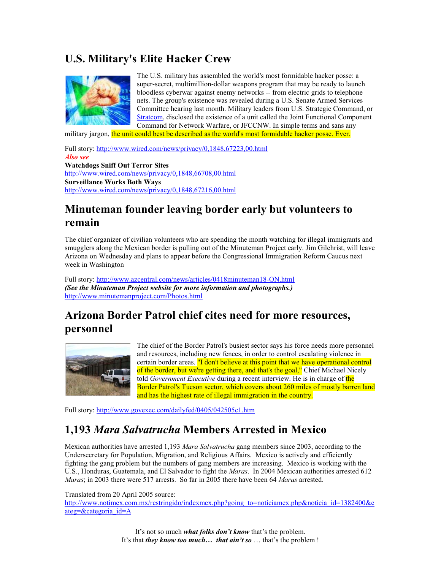# **U.S. Military's Elite Hacker Crew**



The U.S. military has assembled the world's most formidable hacker posse: a super-secret, multimillion-dollar weapons program that may be ready to launch bloodless cyberwar against enemy networks -- from electric grids to telephone nets. The group's existence was revealed during a U.S. Senate Armed Services Committee hearing last month. Military leaders from U.S. Strategic Command, or Stratcom, disclosed the existence of a unit called the Joint Functional Component Command for Network Warfare, or JFCCNW. In simple terms and sans any

military jargon, the unit could best be described as the world's most formidable hacker posse. Ever.

Full story: http://www.wired.com/news/privacy/0,1848,67223,00.html *Also see*  **Watchdogs Sniff Out Terror Sites**  http://www.wired.com/news/privacy/0,1848,66708,00.html **Surveillance Works Both Ways**  http://www.wired.com/news/privacy/0,1848,67216,00.html

## **Minuteman founder leaving border early but volunteers to remain**

The chief organizer of civilian volunteers who are spending the month watching for illegal immigrants and smugglers along the Mexican border is pulling out of the Minuteman Project early. Jim Gilchrist, will leave Arizona on Wednesday and plans to appear before the Congressional Immigration Reform Caucus next week in Washington

Full story: http://www.azcentral.com/news/articles/0418minuteman18-ON.html *(See the Minuteman Project website for more information and photographs.)*  http://www.minutemanproject.com/Photos.html

# **Arizona Border Patrol chief cites need for more resources, personnel**



The chief of the Border Patrol's busiest sector says his force needs more personnel and resources, including new fences, in order to control escalating violence in certain border areas. "I don't believe at this point that we have operational control of the border, but we're getting there, and that's the goal," Chief Michael Nicely told *Government Executive* during a recent interview. He is in charge of the Border Patrol's Tucson sector, which covers about 260 miles of mostly barren land and has the highest rate of illegal immigration in the country.

Full story: http://www.govexec.com/dailyfed/0405/042505c1.htm

#### **1,193** *Mara Salvatrucha* **Members Arrested in Mexico**

Mexican authorities have arrested 1,193 *Mara Salvatrucha* gang members since 2003, according to the Undersecretary for Population, Migration, and Religious Affairs. Mexico is actively and efficiently fighting the gang problem but the numbers of gang members are increasing. Mexico is working with the U.S., Honduras, Guatemala, and El Salvador to fight the *Maras*. In 2004 Mexican authorities arrested 612 *Maras*; in 2003 there were 517 arrests. So far in 2005 there have been 64 *Maras* arrested.

Translated from 20 April 2005 source:

http://www.notimex.com.mx/restringido/indexmex.php?going\_to=noticiamex.php&noticia\_id=1382400&c ateg=&categoria\_id=A

> It's not so much *what folks don't know* that's the problem. It's that *they know too much… that ain't so* … that's the problem !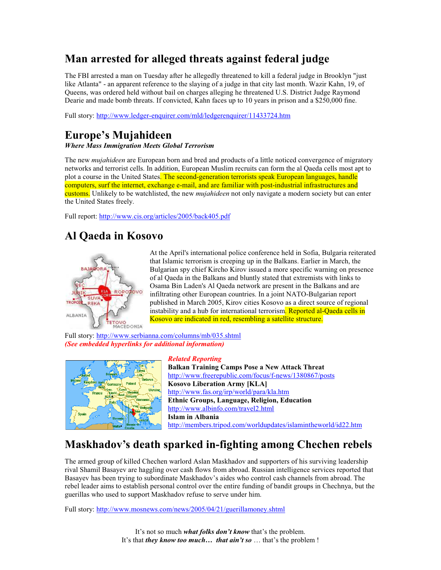# **Man arrested for alleged threats against federal judge**

The FBI arrested a man on Tuesday after he allegedly threatened to kill a federal judge in Brooklyn "just like Atlanta" - an apparent reference to the slaying of a judge in that city last month. Wazir Kahn, 19, of Queens, was ordered held without bail on charges alleging he threatened U.S. District Judge Raymond Dearie and made bomb threats. If convicted, Kahn faces up to 10 years in prison and a \$250,000 fine.

Full story: http://www.ledger-enquirer.com/mld/ledgerenquirer/11433724.htm

## **Europe's Mujahideen**

*Where Mass Immigration Meets Global Terrorism*

The new *mujahideen* are European born and bred and products of a little noticed convergence of migratory networks and terrorist cells. In addition, European Muslim recruits can form the al Qaeda cells most apt to plot a course in the United States. The second-generation terrorists speak European languages, handle computers, surf the internet, exchange e-mail, and are familiar with post-industrial infrastructures and customs. Unlikely to be watchlisted, the new *mujahideen* not only navigate a modern society but can enter the United States freely.

Full report: http://www.cis.org/articles/2005/back405.pdf

## **Al Qaeda in Kosovo**



At the April's international police conference held in Sofia, Bulgaria reiterated that Islamic terrorism is creeping up in the Balkans. Earlier in March, the Bulgarian spy chief Kircho Kirov issued a more specific warning on presence of al Qaeda in the Balkans and bluntly stated that extremists with links to Osama Bin Laden's Al Qaeda network are present in the Balkans and are infiltrating other European countries. In a joint NATO-Bulgarian report published in March 2005, Kirov cities Kosovo as a direct source of regional instability and a hub for international terrorism. Reported al-Qaeda cells in Kosovo are indicated in red, resembling a satellite structure.

Full story: http://www.serbianna.com/columns/mb/035.shtml *(See embedded hyperlinks for additional information)* 



#### *Related Reporting*

**Balkan Training Camps Pose a New Attack Threat**  http://www.freerepublic.com/focus/f-news/1380867/posts **Kosovo Liberation Army [KLA]**  http://www.fas.org/irp/world/para/kla.htm **Ethnic Groups, Language, Religion, Education**  http://www.albinfo.com/travel2.html **Islam in Albania** http://members.tripod.com/worldupdates/islamintheworld/id22.htm

## **Maskhadov's death sparked in-fighting among Chechen rebels**

The armed group of killed Chechen warlord Aslan Maskhadov and supporters of his surviving leadership rival Shamil Basayev are haggling over cash flows from abroad. Russian intelligence services reported that Basayev has been trying to subordinate Maskhadov's aides who control cash channels from abroad. The rebel leader aims to establish personal control over the entire funding of bandit groups in Chechnya, but the guerillas who used to support Maskhadov refuse to serve under him.

Full story: http://www.mosnews.com/news/2005/04/21/guerillamoney.shtml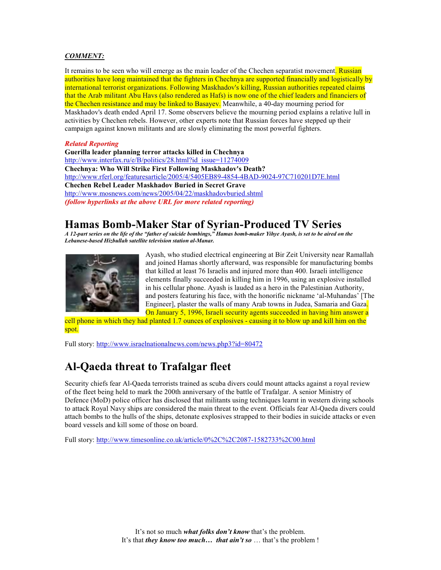#### *COMMENT:*

It remains to be seen who will emerge as the main leader of the Chechen separatist movement. Russian authorities have long maintained that the fighters in Chechnya are supported financially and logistically by international terrorist organizations. Following Maskhadov's killing, Russian authorities repeated claims that the Arab militant Abu Havs (also rendered as Hafs) is now one of the chief leaders and financiers of the Chechen resistance and may be linked to Basayev. Meanwhile, a 40-day mourning period for Maskhadov's death ended April 17. Some observers believe the mourning period explains a relative lull in activities by Chechen rebels. However, other experts note that Russian forces have stepped up their campaign against known militants and are slowly eliminating the most powerful fighters.

#### *Related Reporting*

**Guerilla leader planning terror attacks killed in Chechnya**  http://www.interfax.ru/e/B/politics/28.html?id\_issue=11274009 **Chechnya: Who Will Strike First Following Maskhadov's Death?**  http://www.rferl.org/featuresarticle/2005/4/5405EB89-4854-4BAD-9024-97C710201D7E.html **Chechen Rebel Leader Maskhadov Buried in Secret Grave**  http://www.mosnews.com/news/2005/04/22/maskhadovburied.shtml *(follow hyperlinks at the above URL for more related reporting)* 

#### **Hamas Bomb-Maker Star of Syrian-Produced TV Series**

*A 12-part series on the life of the "father of suicide bombings," Hamas bomb-maker Yihye Ayash, is set to be aired on the Lebanese-based Hizbullah satellite television station al-Manar.*



Ayash, who studied electrical engineering at Bir Zeit University near Ramallah and joined Hamas shortly afterward, was responsible for manufacturing bombs that killed at least 76 Israelis and injured more than 400. Israeli intelligence elements finally succeeded in killing him in 1996, using an explosive installed in his cellular phone. Ayash is lauded as a hero in the Palestinian Authority, and posters featuring his face, with the honorific nickname 'al-Muhandas' [The Engineer], plaster the walls of many Arab towns in Judea, Samaria and Gaza. On January 5, 1996, Israeli security agents succeeded in having him answer a

cell phone in which they had planted 1.7 ounces of explosives - causing it to blow up and kill him on the spot.

Full story: http://www.israelnationalnews.com/news.php3?id=80472

## **Al-Qaeda threat to Trafalgar fleet**

Security chiefs fear Al-Qaeda terrorists trained as scuba divers could mount attacks against a royal review of the fleet being held to mark the 200th anniversary of the battle of Trafalgar. A senior Ministry of Defence (MoD) police officer has disclosed that militants using techniques learnt in western diving schools to attack Royal Navy ships are considered the main threat to the event. Officials fear Al-Qaeda divers could attach bombs to the hulls of the ships, detonate explosives strapped to their bodies in suicide attacks or even board vessels and kill some of those on board.

Full story: http://www.timesonline.co.uk/article/0%2C%2C2087-1582733%2C00.html